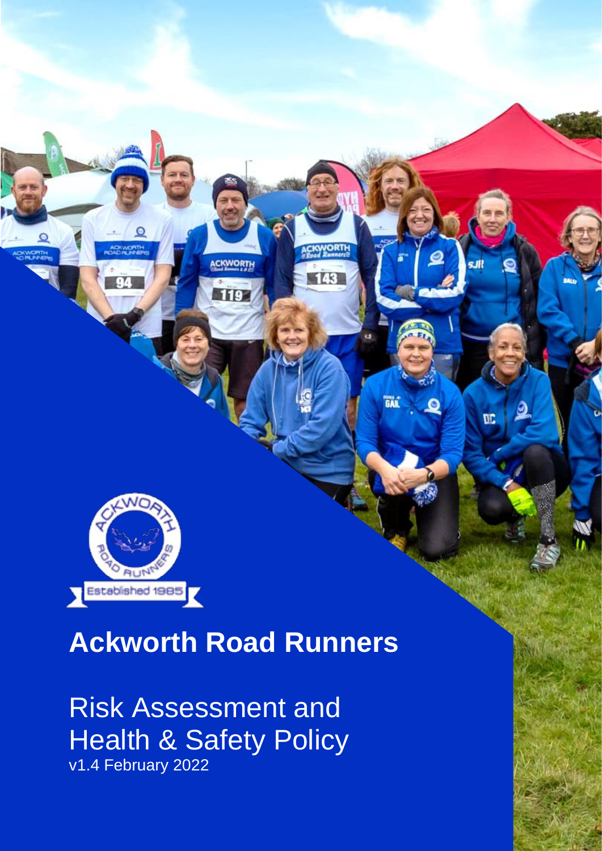

# **Ackworth Road Runners**

**ACKWORTH** 

119

143

**GAL** 

O

 $0<sup>c</sup>$ 

Risk Assessment and **Health & Safety Policy** v1.4 February 2022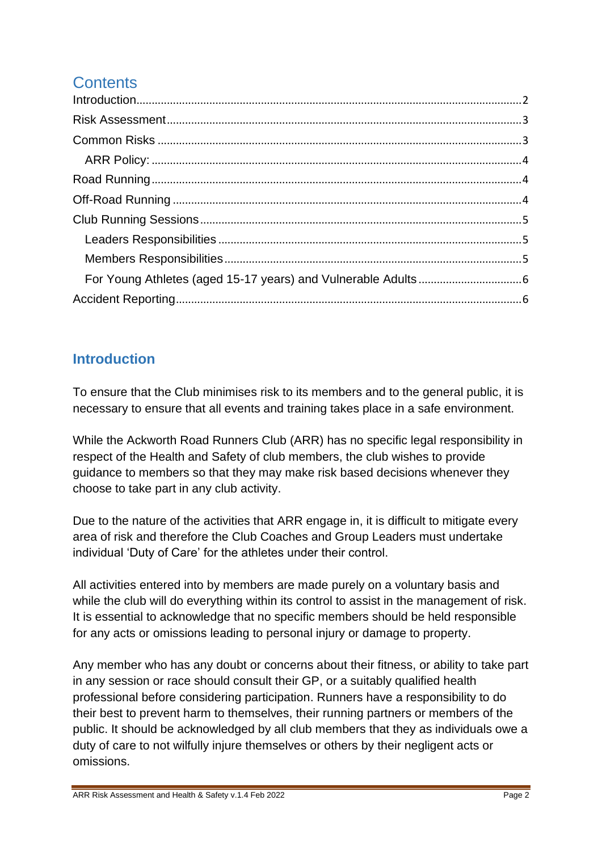# **Contents**

## <span id="page-1-0"></span>**Introduction**

To ensure that the Club minimises risk to its members and to the general public, it is necessary to ensure that all events and training takes place in a safe environment.

While the Ackworth Road Runners Club (ARR) has no specific legal responsibility in respect of the Health and Safety of club members, the club wishes to provide guidance to members so that they may make risk based decisions whenever they choose to take part in any club activity.

Due to the nature of the activities that ARR engage in, it is difficult to mitigate every area of risk and therefore the Club Coaches and Group Leaders must undertake individual 'Duty of Care' for the athletes under their control.

All activities entered into by members are made purely on a voluntary basis and while the club will do everything within its control to assist in the management of risk. It is essential to acknowledge that no specific members should be held responsible for any acts or omissions leading to personal injury or damage to property.

Any member who has any doubt or concerns about their fitness, or ability to take part in any session or race should consult their GP, or a suitably qualified health professional before considering participation. Runners have a responsibility to do their best to prevent harm to themselves, their running partners or members of the public. It should be acknowledged by all club members that they as individuals owe a duty of care to not wilfully injure themselves or others by their negligent acts or omissions.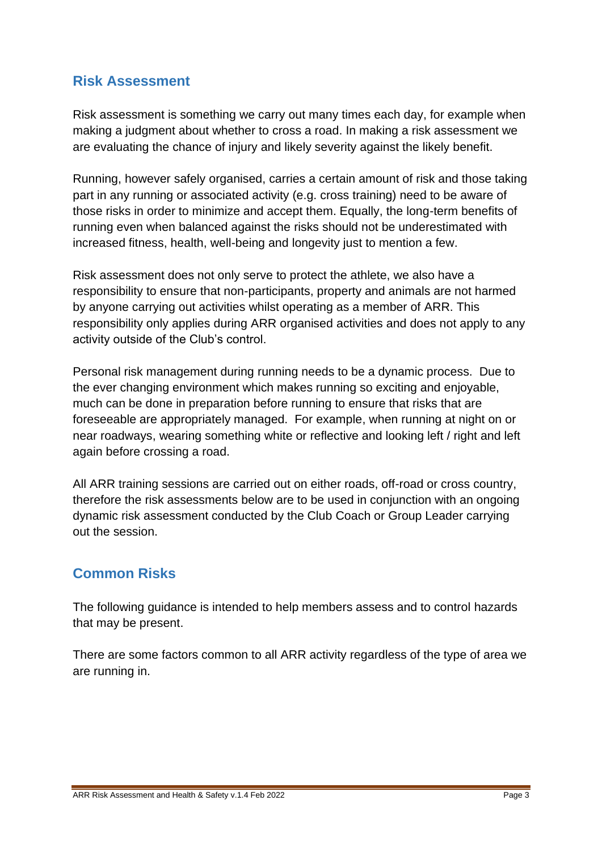#### <span id="page-2-0"></span>**Risk Assessment**

Risk assessment is something we carry out many times each day, for example when making a judgment about whether to cross a road. In making a risk assessment we are evaluating the chance of injury and likely severity against the likely benefit.

Running, however safely organised, carries a certain amount of risk and those taking part in any running or associated activity (e.g. cross training) need to be aware of those risks in order to minimize and accept them. Equally, the long-term benefits of running even when balanced against the risks should not be underestimated with increased fitness, health, well-being and longevity just to mention a few.

Risk assessment does not only serve to protect the athlete, we also have a responsibility to ensure that non-participants, property and animals are not harmed by anyone carrying out activities whilst operating as a member of ARR. This responsibility only applies during ARR organised activities and does not apply to any activity outside of the Club's control.

Personal risk management during running needs to be a dynamic process. Due to the ever changing environment which makes running so exciting and enjoyable, much can be done in preparation before running to ensure that risks that are foreseeable are appropriately managed. For example, when running at night on or near roadways, wearing something white or reflective and looking left / right and left again before crossing a road.

All ARR training sessions are carried out on either roads, off-road or cross country, therefore the risk assessments below are to be used in conjunction with an ongoing dynamic risk assessment conducted by the Club Coach or Group Leader carrying out the session.

## <span id="page-2-1"></span>**Common Risks**

The following guidance is intended to help members assess and to control hazards that may be present.

<span id="page-2-2"></span>There are some factors common to all ARR activity regardless of the type of area we are running in.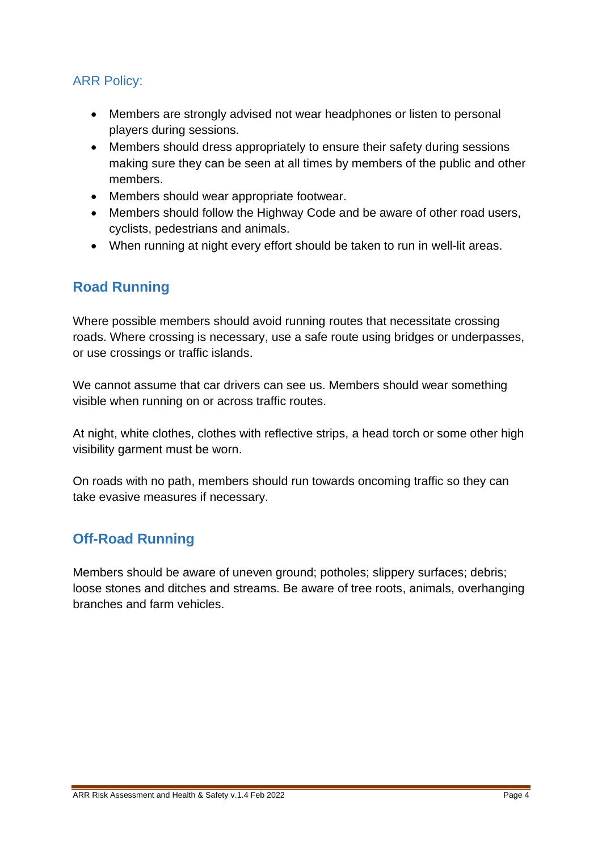#### ARR Policy:

- Members are strongly advised not wear headphones or listen to personal players during sessions.
- Members should dress appropriately to ensure their safety during sessions making sure they can be seen at all times by members of the public and other members.
- Members should wear appropriate footwear.
- Members should follow the Highway Code and be aware of other road users, cyclists, pedestrians and animals.
- When running at night every effort should be taken to run in well-lit areas.

#### <span id="page-3-0"></span>**Road Running**

Where possible members should avoid running routes that necessitate crossing roads. Where crossing is necessary, use a safe route using bridges or underpasses, or use crossings or traffic islands.

We cannot assume that car drivers can see us. Members should wear something visible when running on or across traffic routes.

At night, white clothes, clothes with reflective strips, a head torch or some other high visibility garment must be worn.

On roads with no path, members should run towards oncoming traffic so they can take evasive measures if necessary.

#### <span id="page-3-1"></span>**Off-Road Running**

<span id="page-3-2"></span>Members should be aware of uneven ground; potholes; slippery surfaces; debris; loose stones and ditches and streams. Be aware of tree roots, animals, overhanging branches and farm vehicles.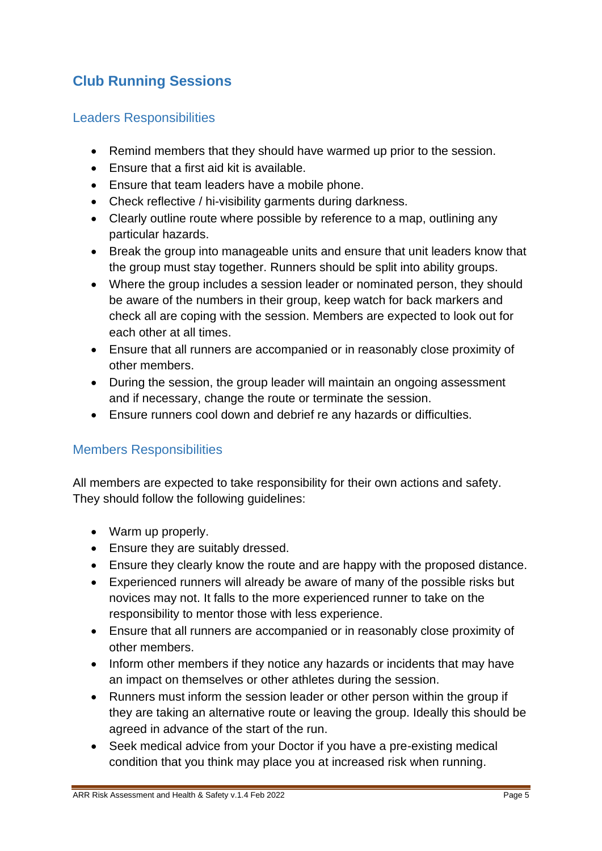# **Club Running Sessions**

#### <span id="page-4-0"></span>Leaders Responsibilities

- Remind members that they should have warmed up prior to the session.
- Ensure that a first aid kit is available.
- Ensure that team leaders have a mobile phone.
- Check reflective / hi-visibility garments during darkness.
- Clearly outline route where possible by reference to a map, outlining any particular hazards.
- Break the group into manageable units and ensure that unit leaders know that the group must stay together. Runners should be split into ability groups.
- Where the group includes a session leader or nominated person, they should be aware of the numbers in their group, keep watch for back markers and check all are coping with the session. Members are expected to look out for each other at all times.
- Ensure that all runners are accompanied or in reasonably close proximity of other members.
- During the session, the group leader will maintain an ongoing assessment and if necessary, change the route or terminate the session.
- Ensure runners cool down and debrief re any hazards or difficulties.

#### <span id="page-4-1"></span>Members Responsibilities

All members are expected to take responsibility for their own actions and safety. They should follow the following guidelines:

- Warm up properly.
- Ensure they are suitably dressed.
- Ensure they clearly know the route and are happy with the proposed distance.
- Experienced runners will already be aware of many of the possible risks but novices may not. It falls to the more experienced runner to take on the responsibility to mentor those with less experience.
- Ensure that all runners are accompanied or in reasonably close proximity of other members.
- Inform other members if they notice any hazards or incidents that may have an impact on themselves or other athletes during the session.
- Runners must inform the session leader or other person within the group if they are taking an alternative route or leaving the group. Ideally this should be agreed in advance of the start of the run.
- Seek medical advice from your Doctor if you have a pre-existing medical condition that you think may place you at increased risk when running.